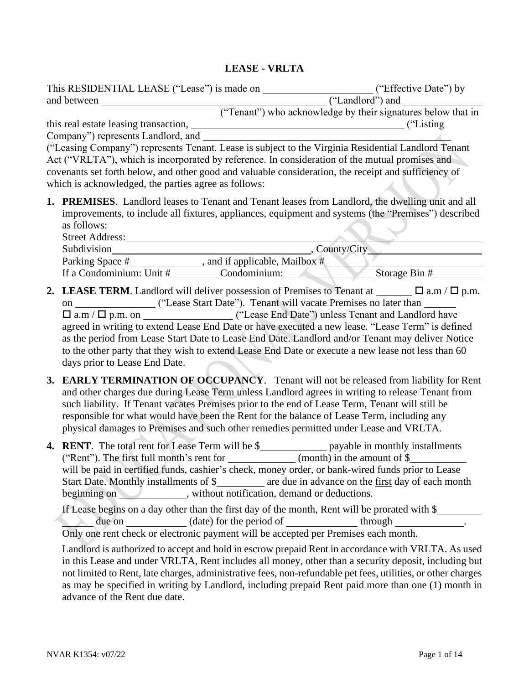# **LEASE - VRLTA**

| Company") represents Landlord, and ________<br>("Leasing Company") represents Tenant. Lease is subject to the Virginia Residential Landlord Tenant<br>Act ("VRLTA"), which is incorporated by reference. In consideration of the mutual promises and                                                                                                                                                                                                                                 |  |                                                                                                                                                                                                                                                                                                                                                                                                                                  |
|--------------------------------------------------------------------------------------------------------------------------------------------------------------------------------------------------------------------------------------------------------------------------------------------------------------------------------------------------------------------------------------------------------------------------------------------------------------------------------------|--|----------------------------------------------------------------------------------------------------------------------------------------------------------------------------------------------------------------------------------------------------------------------------------------------------------------------------------------------------------------------------------------------------------------------------------|
| covenants set forth below, and other good and valuable consideration, the receipt and sufficiency of<br>which is acknowledged, the parties agree as follows:                                                                                                                                                                                                                                                                                                                         |  |                                                                                                                                                                                                                                                                                                                                                                                                                                  |
| as follows:                                                                                                                                                                                                                                                                                                                                                                                                                                                                          |  | 1. PREMISES. Landlord leases to Tenant and Tenant leases from Landlord, the dwelling unit and all<br>improvements, to include all fixtures, appliances, equipment and systems (the "Premises") described                                                                                                                                                                                                                         |
|                                                                                                                                                                                                                                                                                                                                                                                                                                                                                      |  |                                                                                                                                                                                                                                                                                                                                                                                                                                  |
|                                                                                                                                                                                                                                                                                                                                                                                                                                                                                      |  |                                                                                                                                                                                                                                                                                                                                                                                                                                  |
|                                                                                                                                                                                                                                                                                                                                                                                                                                                                                      |  | Subdivision Parking Space # (1)  and if applicable, Mailbox # (1)  (1)  (1)  (1)  (1)  (1)  (1)  (1)  (1)  (1)  (1)  (1)  (1)  (1)  (1)  (1)  (1)  (1)  (1)  (1) .                                                                                                                                                                                                                                                               |
| 2. LEASE TERM. Landlord will deliver possession of Premises to Tenant at $\Box$ $\Box$ a.m / $\Box$ p.m.<br>agreed in writing to extend Lease End Date or have executed a new lease. "Lease Term" is defined<br>as the period from Lease Start Date to Lease End Date. Landlord and/or Tenant may deliver Notice<br>to the other party that they wish to extend Lease End Date or execute a new lease not less than 60<br>days prior to Lease End Date.                              |  |                                                                                                                                                                                                                                                                                                                                                                                                                                  |
| 3. EARLY TERMINATION OF OCCUPANCY. Tenant will not be released from liability for Rent<br>and other charges due during Lease Term unless Landlord agrees in writing to release Tenant from<br>such liability. If Tenant vacates Premises prior to the end of Lease Term, Tenant will still be<br>responsible for what would have been the Rent for the balance of Lease Term, including any<br>physical damages to Premises and such other remedies permitted under Lease and VRLTA. |  |                                                                                                                                                                                                                                                                                                                                                                                                                                  |
| will be paid in certified funds, cashier's check, money order, or bank-wired funds prior to Lease<br>Start Date. Monthly installments of \$___________ are due in advance on the first day of each month<br>beginning on _____________, without notification, demand or deductions.                                                                                                                                                                                                  |  |                                                                                                                                                                                                                                                                                                                                                                                                                                  |
| Only one rent check or electronic payment will be accepted per Premises each month.                                                                                                                                                                                                                                                                                                                                                                                                  |  | If Lease begins on a day other than the first day of the month, Rent will be prorated with $\$<br>due on ___________ (date) for the period of _______________ through ____________.                                                                                                                                                                                                                                              |
| advance of the Rent due date.                                                                                                                                                                                                                                                                                                                                                                                                                                                        |  | Landlord is authorized to accept and hold in escrow prepaid Rent in accordance with VRLTA. As used<br>in this Lease and under VRLTA, Rent includes all money, other than a security deposit, including but<br>not limited to Rent, late charges, administrative fees, non-refundable pet fees, utilities, or other charges<br>as may be specified in writing by Landlord, including prepaid Rent paid more than one (1) month in |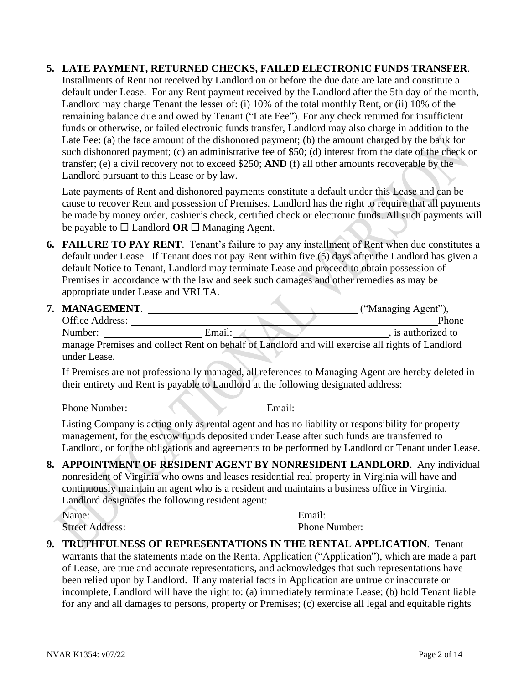#### **5. LATE PAYMENT, RETURNED CHECKS, FAILED ELECTRONIC FUNDS TRANSFER**.

Installments of Rent not received by Landlord on or before the due date are late and constitute a default under Lease. For any Rent payment received by the Landlord after the 5th day of the month, Landlord may charge Tenant the lesser of: (i) 10% of the total monthly Rent, or (ii) 10% of the remaining balance due and owed by Tenant ("Late Fee"). For any check returned for insufficient funds or otherwise, or failed electronic funds transfer, Landlord may also charge in addition to the Late Fee: (a) the face amount of the dishonored payment; (b) the amount charged by the bank for such dishonored payment; (c) an administrative fee of \$50; (d) interest from the date of the check or transfer; (e) a civil recovery not to exceed \$250; **AND** (f) all other amounts recoverable by the Landlord pursuant to this Lease or by law.

Late payments of Rent and dishonored payments constitute a default under this Lease and can be cause to recover Rent and possession of Premises. Landlord has the right to require that all payments be made by money order, cashier's check, certified check or electronic funds. All such payments will be payable to  $\square$  Landlord **OR**  $\square$  Managing Agent.

**6. FAILURE TO PAY RENT**. Tenant's failure to pay any installment of Rent when due constitutes a default under Lease. If Tenant does not pay Rent within five (5) days after the Landlord has given a default Notice to Tenant, Landlord may terminate Lease and proceed to obtain possession of Premises in accordance with the law and seek such damages and other remedies as may be appropriate under Lease and VRLTA.

|                                                                                                 | <b>MANAGEMENT.</b> |        | ("Managing Agent"), |
|-------------------------------------------------------------------------------------------------|--------------------|--------|---------------------|
|                                                                                                 | Office Address:    |        | Phone               |
|                                                                                                 | Number:            | Email: | , is authorized to  |
| manage Premises and collect Rent on behalf of Landlord and will exercise all rights of Landlord |                    |        |                     |
|                                                                                                 | under Lease.       |        |                     |

If Premises are not professionally managed, all references to Managing Agent are hereby deleted in their entirety and Rent is payable to Landlord at the following designated address:

Phone Number: Email:

Listing Company is acting only as rental agent and has no liability or responsibility for property management, for the escrow funds deposited under Lease after such funds are transferred to Landlord, or for the obligations and agreements to be performed by Landlord or Tenant under Lease.

**8. APPOINTMENT OF RESIDENT AGENT BY NONRESIDENT LANDLORD**. Any individual nonresident of Virginia who owns and leases residential real property in Virginia will have and continuously maintain an agent who is a resident and maintains a business office in Virginia. Landlord designates the following resident agent:

Name: Email: Street Address: Phone Number:

**9. TRUTHFULNESS OF REPRESENTATIONS IN THE RENTAL APPLICATION**. Tenant warrants that the statements made on the Rental Application ("Application"), which are made a part of Lease, are true and accurate representations, and acknowledges that such representations have been relied upon by Landlord. If any material facts in Application are untrue or inaccurate or incomplete, Landlord will have the right to: (a) immediately terminate Lease; (b) hold Tenant liable for any and all damages to persons, property or Premises; (c) exercise all legal and equitable rights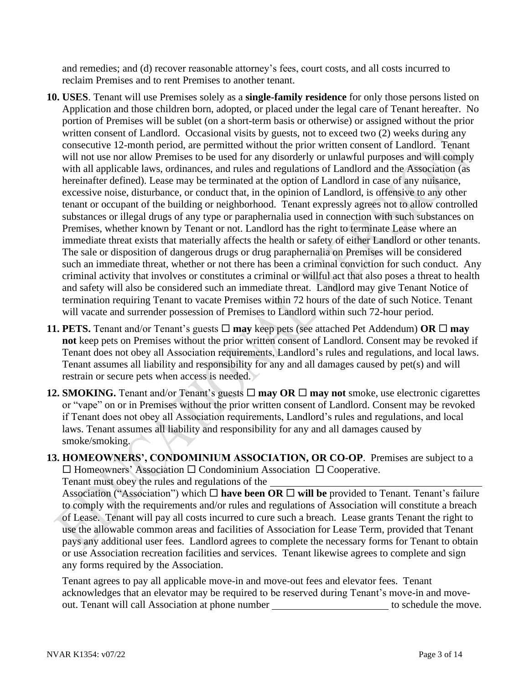and remedies; and (d) recover reasonable attorney's fees, court costs, and all costs incurred to reclaim Premises and to rent Premises to another tenant.

- **10. USES**. Tenant will use Premises solely as a **single-family residence** for only those persons listed on Application and those children born, adopted, or placed under the legal care of Tenant hereafter. No portion of Premises will be sublet (on a short-term basis or otherwise) or assigned without the prior written consent of Landlord. Occasional visits by guests, not to exceed two  $(2)$  weeks during any consecutive 12-month period, are permitted without the prior written consent of Landlord. Tenant will not use nor allow Premises to be used for any disorderly or unlawful purposes and will comply with all applicable laws, ordinances, and rules and regulations of Landlord and the Association (as hereinafter defined). Lease may be terminated at the option of Landlord in case of any nuisance, excessive noise, disturbance, or conduct that, in the opinion of Landlord, is offensive to any other tenant or occupant of the building or neighborhood. Tenant expressly agrees not to allow controlled substances or illegal drugs of any type or paraphernalia used in connection with such substances on Premises, whether known by Tenant or not. Landlord has the right to terminate Lease where an immediate threat exists that materially affects the health or safety of either Landlord or other tenants. The sale or disposition of dangerous drugs or drug paraphernalia on Premises will be considered such an immediate threat, whether or not there has been a criminal conviction for such conduct. Any criminal activity that involves or constitutes a criminal or willful act that also poses a threat to health and safety will also be considered such an immediate threat. Landlord may give Tenant Notice of termination requiring Tenant to vacate Premises within 72 hours of the date of such Notice. Tenant will vacate and surrender possession of Premises to Landlord within such 72-hour period.
- **11. PETS.** Tenant and/or Tenant's guests  $\Box$  may keep pets (see attached Pet Addendum) OR  $\Box$  may **not** keep pets on Premises without the prior written consent of Landlord. Consent may be revoked if Tenant does not obey all Association requirements, Landlord's rules and regulations, and local laws. Tenant assumes all liability and responsibility for any and all damages caused by pet(s) and will restrain or secure pets when access is needed.
- **12. SMOKING.** Tenant and/or Tenant's guests  $\Box$  may OR  $\Box$  may not smoke, use electronic cigarettes or "vape" on or in Premises without the prior written consent of Landlord. Consent may be revoked if Tenant does not obey all Association requirements, Landlord's rules and regulations, and local laws. Tenant assumes all liability and responsibility for any and all damages caused by smoke/smoking.
- **13. HOMEOWNERS', CONDOMINIUM ASSOCIATION, OR CO-OP**.Premises are subject to a  $\Box$  Homeowners' Association  $\Box$  Condominium Association  $\Box$  Cooperative. Tenant must obey the rules and regulations of the

Association ("Association") which  $\Box$  have been OR  $\Box$  will be provided to Tenant. Tenant's failure to comply with the requirements and/or rules and regulations of Association will constitute a breach of Lease. Tenant will pay all costs incurred to cure such a breach. Lease grants Tenant the right to use the allowable common areas and facilities of Association for Lease Term, provided that Tenant pays any additional user fees. Landlord agrees to complete the necessary forms for Tenant to obtain or use Association recreation facilities and services. Tenant likewise agrees to complete and sign any forms required by the Association.

Tenant agrees to pay all applicable move-in and move-out fees and elevator fees. Tenant acknowledges that an elevator may be required to be reserved during Tenant's move-in and moveout. Tenant will call Association at phone number \_\_\_\_\_\_\_\_\_\_\_\_\_\_\_\_\_\_\_\_\_\_\_\_ to schedule the move.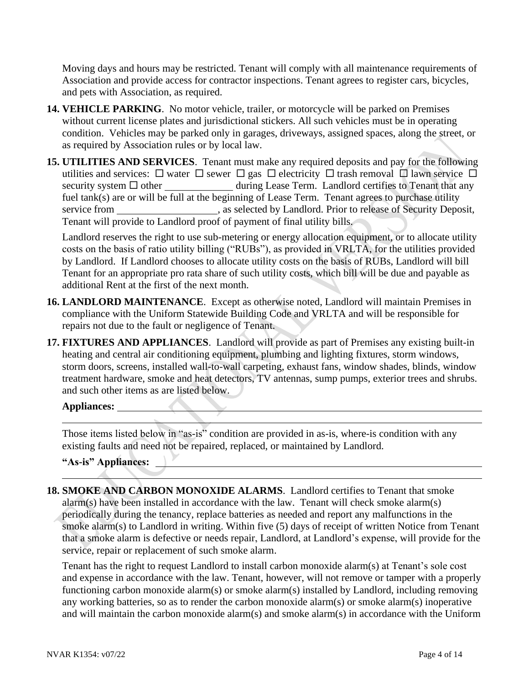Moving days and hours may be restricted. Tenant will comply with all maintenance requirements of Association and provide access for contractor inspections. Tenant agrees to register cars, bicycles, and pets with Association, as required.

- **14. VEHICLE PARKING**. No motor vehicle, trailer, or motorcycle will be parked on Premises without current license plates and jurisdictional stickers. All such vehicles must be in operating condition. Vehicles may be parked only in garages, driveways, assigned spaces, along the street, or as required by Association rules or by local law.
- **15. UTILITIES AND SERVICES**. Tenant must make any required deposits and pay for the following utilities and services:  $\Box$  water  $\Box$  sewer  $\Box$  gas  $\Box$  electricity  $\Box$  trash removal  $\Box$  lawn service  $\Box$ security system  $\Box$  other  $\Box$  during Lease Term. Landlord certifies to Tenant that any fuel tank(s) are or will be full at the beginning of Lease Term. Tenant agrees to purchase utility service from \_\_\_\_\_\_\_\_\_\_\_\_\_\_\_\_\_, as selected by Landlord. Prior to release of Security Deposit, Tenant will provide to Landlord proof of payment of final utility bills.

Landlord reserves the right to use sub-metering or energy allocation equipment, or to allocate utility costs on the basis of ratio utility billing ("RUBs"), as provided in VRLTA, for the utilities provided by Landlord. If Landlord chooses to allocate utility costs on the basis of RUBs, Landlord will bill Tenant for an appropriate pro rata share of such utility costs, which bill will be due and payable as additional Rent at the first of the next month.

- **16. LANDLORD MAINTENANCE**. Except as otherwise noted, Landlord will maintain Premises in compliance with the Uniform Statewide Building Code and VRLTA and will be responsible for repairs not due to the fault or negligence of Tenant.
- **17. FIXTURES AND APPLIANCES**. Landlord will provide as part of Premises any existing built-in heating and central air conditioning equipment, plumbing and lighting fixtures, storm windows, storm doors, screens, installed wall-to-wall carpeting, exhaust fans, window shades, blinds, window treatment hardware, smoke and heat detectors, TV antennas, sump pumps, exterior trees and shrubs. and such other items as are listed below.

#### **Appliances:**

Those items listed below in "as-is" condition are provided in as-is, where-is condition with any existing faults and need not be repaired, replaced, or maintained by Landlord.

#### **"As-is" Appliances:**

**18. SMOKE AND CARBON MONOXIDE ALARMS**. Landlord certifies to Tenant that smoke alarm(s) have been installed in accordance with the law. Tenant will check smoke alarm(s) periodically during the tenancy, replace batteries as needed and report any malfunctions in the smoke alarm(s) to Landlord in writing. Within five (5) days of receipt of written Notice from Tenant that a smoke alarm is defective or needs repair, Landlord, at Landlord's expense, will provide for the service, repair or replacement of such smoke alarm.

Tenant has the right to request Landlord to install carbon monoxide alarm(s) at Tenant's sole cost and expense in accordance with the law. Tenant, however, will not remove or tamper with a properly functioning carbon monoxide alarm(s) or smoke alarm(s) installed by Landlord, including removing any working batteries, so as to render the carbon monoxide alarm(s) or smoke alarm(s) inoperative and will maintain the carbon monoxide alarm(s) and smoke alarm(s) in accordance with the Uniform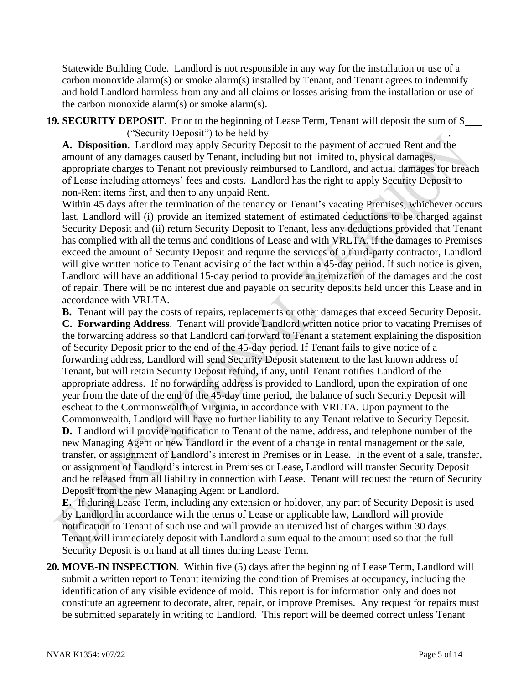Statewide Building Code. Landlord is not responsible in any way for the installation or use of a carbon monoxide alarm(s) or smoke alarm(s) installed by Tenant, and Tenant agrees to indemnify and hold Landlord harmless from any and all claims or losses arising from the installation or use of the carbon monoxide alarm(s) or smoke alarm(s).

**19. SECURITY DEPOSIT**. Prior to the beginning of Lease Term, Tenant will deposit the sum of \$ ("Security Deposit") to be held by .

**A. Disposition**. Landlord may apply Security Deposit to the payment of accrued Rent and the amount of any damages caused by Tenant, including but not limited to, physical damages, appropriate charges to Tenant not previously reimbursed to Landlord, and actual damages for breach of Lease including attorneys' fees and costs. Landlord has the right to apply Security Deposit to non-Rent items first, and then to any unpaid Rent.

Within 45 days after the termination of the tenancy or Tenant's vacating Premises, whichever occurs last, Landlord will (i) provide an itemized statement of estimated deductions to be charged against Security Deposit and (ii) return Security Deposit to Tenant, less any deductions provided that Tenant has complied with all the terms and conditions of Lease and with VRLTA. If the damages to Premises exceed the amount of Security Deposit and require the services of a third-party contractor, Landlord will give written notice to Tenant advising of the fact within a 45-day period. If such notice is given, Landlord will have an additional 15-day period to provide an itemization of the damages and the cost of repair. There will be no interest due and payable on security deposits held under this Lease and in accordance with VRLTA.

**B.** Tenant will pay the costs of repairs, replacements or other damages that exceed Security Deposit.

**C. Forwarding Address**. Tenant will provide Landlord written notice prior to vacating Premises of the forwarding address so that Landlord can forward to Tenant a statement explaining the disposition of Security Deposit prior to the end of the 45-day period. If Tenant fails to give notice of a forwarding address, Landlord will send Security Deposit statement to the last known address of Tenant, but will retain Security Deposit refund, if any, until Tenant notifies Landlord of the appropriate address. If no forwarding address is provided to Landlord, upon the expiration of one year from the date of the end of the 45-day time period, the balance of such Security Deposit will escheat to the Commonwealth of Virginia, in accordance with VRLTA. Upon payment to the Commonwealth, Landlord will have no further liability to any Tenant relative to Security Deposit. **D.** Landlord will provide notification to Tenant of the name, address, and telephone number of the new Managing Agent or new Landlord in the event of a change in rental management or the sale,

transfer, or assignment of Landlord's interest in Premises or in Lease. In the event of a sale, transfer, or assignment of Landlord's interest in Premises or Lease, Landlord will transfer Security Deposit and be released from all liability in connection with Lease. Tenant will request the return of Security Deposit from the new Managing Agent or Landlord.

**E.** If during Lease Term, including any extension or holdover, any part of Security Deposit is used by Landlord in accordance with the terms of Lease or applicable law, Landlord will provide notification to Tenant of such use and will provide an itemized list of charges within 30 days. Tenant will immediately deposit with Landlord a sum equal to the amount used so that the full Security Deposit is on hand at all times during Lease Term.

**20. MOVE-IN INSPECTION**. Within five (5) days after the beginning of Lease Term, Landlord will submit a written report to Tenant itemizing the condition of Premises at occupancy, including the identification of any visible evidence of mold. This report is for information only and does not constitute an agreement to decorate, alter, repair, or improve Premises. Any request for repairs must be submitted separately in writing to Landlord. This report will be deemed correct unless Tenant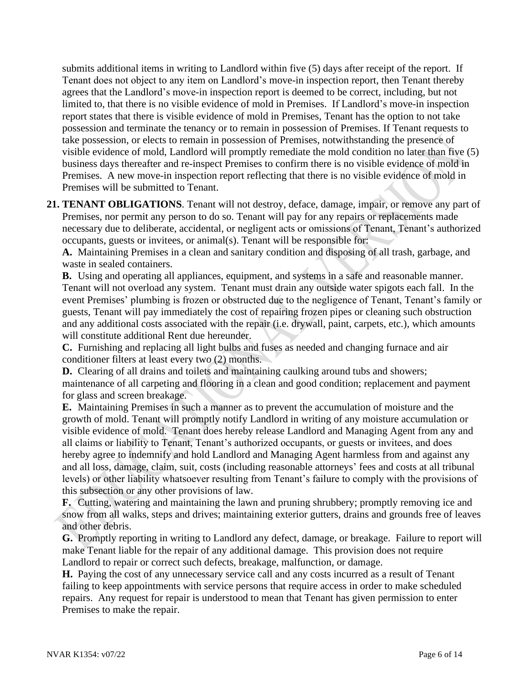submits additional items in writing to Landlord within five (5) days after receipt of the report. If Tenant does not object to any item on Landlord's move-in inspection report, then Tenant thereby agrees that the Landlord's move-in inspection report is deemed to be correct, including, but not limited to, that there is no visible evidence of mold in Premises. If Landlord's move-in inspection report states that there is visible evidence of mold in Premises, Tenant has the option to not take possession and terminate the tenancy or to remain in possession of Premises. If Tenant requests to take possession, or elects to remain in possession of Premises, notwithstanding the presence of visible evidence of mold, Landlord will promptly remediate the mold condition no later than five (5) business days thereafter and re-inspect Premises to confirm there is no visible evidence of mold in Premises. A new move-in inspection report reflecting that there is no visible evidence of mold in Premises will be submitted to Tenant.

**21. TENANT OBLIGATIONS**. Tenant will not destroy, deface, damage, impair, or remove any part of Premises, nor permit any person to do so. Tenant will pay for any repairs or replacements made necessary due to deliberate, accidental, or negligent acts or omissions of Tenant, Tenant's authorized occupants, guests or invitees, or animal(s). Tenant will be responsible for:

**A.** Maintaining Premises in a clean and sanitary condition and disposing of all trash, garbage, and waste in sealed containers.

**B.** Using and operating all appliances, equipment, and systems in a safe and reasonable manner. Tenant will not overload any system. Tenant must drain any outside water spigots each fall. In the event Premises' plumbing is frozen or obstructed due to the negligence of Tenant, Tenant's family or guests, Tenant will pay immediately the cost of repairing frozen pipes or cleaning such obstruction and any additional costs associated with the repair (i.e. drywall, paint, carpets, etc.), which amounts will constitute additional Rent due hereunder.

**C.** Furnishing and replacing all light bulbs and fuses as needed and changing furnace and air conditioner filters at least every two (2) months.

**D.** Clearing of all drains and toilets and maintaining caulking around tubs and showers; maintenance of all carpeting and flooring in a clean and good condition; replacement and payment for glass and screen breakage.

**E.** Maintaining Premises in such a manner as to prevent the accumulation of moisture and the growth of mold. Tenant will promptly notify Landlord in writing of any moisture accumulation or visible evidence of mold. Tenant does hereby release Landlord and Managing Agent from any and all claims or liability to Tenant, Tenant's authorized occupants, or guests or invitees, and does hereby agree to indemnify and hold Landlord and Managing Agent harmless from and against any and all loss, damage, claim, suit, costs (including reasonable attorneys' fees and costs at all tribunal levels) or other liability whatsoever resulting from Tenant's failure to comply with the provisions of this subsection or any other provisions of law.

**F.** Cutting, watering and maintaining the lawn and pruning shrubbery; promptly removing ice and snow from all walks, steps and drives; maintaining exterior gutters, drains and grounds free of leaves and other debris.

**G.** Promptly reporting in writing to Landlord any defect, damage, or breakage. Failure to report will make Tenant liable for the repair of any additional damage. This provision does not require Landlord to repair or correct such defects, breakage, malfunction, or damage.

**H.** Paying the cost of any unnecessary service call and any costs incurred as a result of Tenant failing to keep appointments with service persons that require access in order to make scheduled repairs. Any request for repair is understood to mean that Tenant has given permission to enter Premises to make the repair.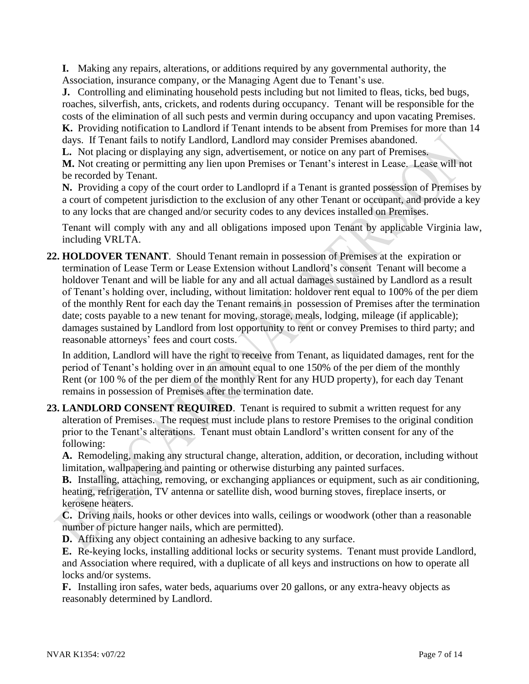**I.** Making any repairs, alterations, or additions required by any governmental authority, the Association, insurance company, or the Managing Agent due to Tenant's use.

**J.** Controlling and eliminating household pests including but not limited to fleas, ticks, bed bugs, roaches, silverfish, ants, crickets, and rodents during occupancy. Tenant will be responsible for the costs of the elimination of all such pests and vermin during occupancy and upon vacating Premises. **K.** Providing notification to Landlord if Tenant intends to be absent from Premises for more than 14 days. If Tenant fails to notify Landlord, Landlord may consider Premises abandoned.

**L.** Not placing or displaying any sign, advertisement, or notice on any part of Premises.

**M.** Not creating or permitting any lien upon Premises or Tenant's interest in Lease. Lease will not be recorded by Tenant.

**N.** Providing a copy of the court order to Landloprd if a Tenant is granted possession of Premises by a court of competent jurisdiction to the exclusion of any other Tenant or occupant, and provide a key to any locks that are changed and/or security codes to any devices installed on Premises.

Tenant will comply with any and all obligations imposed upon Tenant by applicable Virginia law, including VRLTA.

**22. HOLDOVER TENANT**. Should Tenant remain in possession of Premises at the expiration or termination of Lease Term or Lease Extension without Landlord's consent Tenant will become a holdover Tenant and will be liable for any and all actual damages sustained by Landlord as a result of Tenant's holding over, including, without limitation: holdover rent equal to 100% of the per diem of the monthly Rent for each day the Tenant remains in possession of Premises after the termination date; costs payable to a new tenant for moving, storage, meals, lodging, mileage (if applicable); damages sustained by Landlord from lost opportunity to rent or convey Premises to third party; and reasonable attorneys' fees and court costs.

In addition, Landlord will have the right to receive from Tenant, as liquidated damages, rent for the period of Tenant's holding over in an amount equal to one 150% of the per diem of the monthly Rent (or 100 % of the per diem of the monthly Rent for any HUD property), for each day Tenant remains in possession of Premises after the termination date.

**23. LANDLORD CONSENT REQUIRED**. Tenant is required to submit a written request for any alteration of Premises. The request must include plans to restore Premises to the original condition prior to the Tenant's alterations. Tenant must obtain Landlord's written consent for any of the following:

**A.** Remodeling, making any structural change, alteration, addition, or decoration, including without limitation, wallpapering and painting or otherwise disturbing any painted surfaces.

**B.** Installing, attaching, removing, or exchanging appliances or equipment, such as air conditioning, heating, refrigeration, TV antenna or satellite dish, wood burning stoves, fireplace inserts, or kerosene heaters.

**C.** Driving nails, hooks or other devices into walls, ceilings or woodwork (other than a reasonable number of picture hanger nails, which are permitted).

**D.** Affixing any object containing an adhesive backing to any surface.

**E.** Re-keying locks, installing additional locks or security systems. Tenant must provide Landlord, and Association where required, with a duplicate of all keys and instructions on how to operate all locks and/or systems.

**F.** Installing iron safes, water beds, aquariums over 20 gallons, or any extra-heavy objects as reasonably determined by Landlord.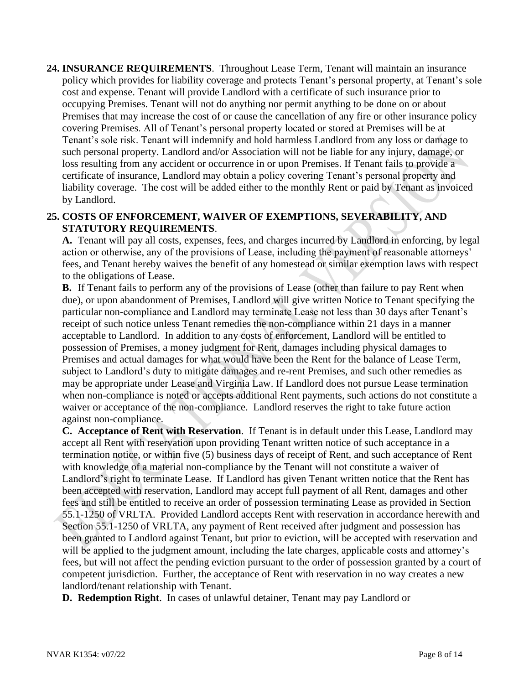**24. INSURANCE REQUIREMENTS**. Throughout Lease Term, Tenant will maintain an insurance policy which provides for liability coverage and protects Tenant's personal property, at Tenant's sole cost and expense. Tenant will provide Landlord with a certificate of such insurance prior to occupying Premises. Tenant will not do anything nor permit anything to be done on or about Premises that may increase the cost of or cause the cancellation of any fire or other insurance policy covering Premises. All of Tenant's personal property located or stored at Premises will be at Tenant's sole risk. Tenant will indemnify and hold harmless Landlord from any loss or damage to such personal property. Landlord and/or Association will not be liable for any injury, damage, or loss resulting from any accident or occurrence in or upon Premises. If Tenant fails to provide a certificate of insurance, Landlord may obtain a policy covering Tenant's personal property and liability coverage. The cost will be added either to the monthly Rent or paid by Tenant as invoiced by Landlord.

## **25. COSTS OF ENFORCEMENT, WAIVER OF EXEMPTIONS, SEVERABILITY, AND STATUTORY REQUIREMENTS**.

**A.** Tenant will pay all costs, expenses, fees, and charges incurred by Landlord in enforcing, by legal action or otherwise, any of the provisions of Lease, including the payment of reasonable attorneys' fees, and Tenant hereby waives the benefit of any homestead or similar exemption laws with respect to the obligations of Lease.

**B.** If Tenant fails to perform any of the provisions of Lease (other than failure to pay Rent when due), or upon abandonment of Premises, Landlord will give written Notice to Tenant specifying the particular non-compliance and Landlord may terminate Lease not less than 30 days after Tenant's receipt of such notice unless Tenant remedies the non-compliance within 21 days in a manner acceptable to Landlord. In addition to any costs of enforcement, Landlord will be entitled to possession of Premises, a money judgment for Rent, damages including physical damages to Premises and actual damages for what would have been the Rent for the balance of Lease Term, subject to Landlord's duty to mitigate damages and re-rent Premises, and such other remedies as may be appropriate under Lease and Virginia Law. If Landlord does not pursue Lease termination when non-compliance is noted or accepts additional Rent payments, such actions do not constitute a waiver or acceptance of the non-compliance. Landlord reserves the right to take future action against non-compliance.

**C. Acceptance of Rent with Reservation**. If Tenant is in default under this Lease, Landlord may accept all Rent with reservation upon providing Tenant written notice of such acceptance in a termination notice, or within five (5) business days of receipt of Rent, and such acceptance of Rent with knowledge of a material non-compliance by the Tenant will not constitute a waiver of Landlord's right to terminate Lease. If Landlord has given Tenant written notice that the Rent has been accepted with reservation, Landlord may accept full payment of all Rent, damages and other fees and still be entitled to receive an order of possession terminating Lease as provided in Section 55.1-1250 of VRLTA. Provided Landlord accepts Rent with reservation in accordance herewith and Section 55.1-1250 of VRLTA, any payment of Rent received after judgment and possession has been granted to Landlord against Tenant, but prior to eviction, will be accepted with reservation and will be applied to the judgment amount, including the late charges, applicable costs and attorney's fees, but will not affect the pending eviction pursuant to the order of possession granted by a court of competent jurisdiction. Further, the acceptance of Rent with reservation in no way creates a new landlord/tenant relationship with Tenant.

**D. Redemption Right**. In cases of unlawful detainer, Tenant may pay Landlord or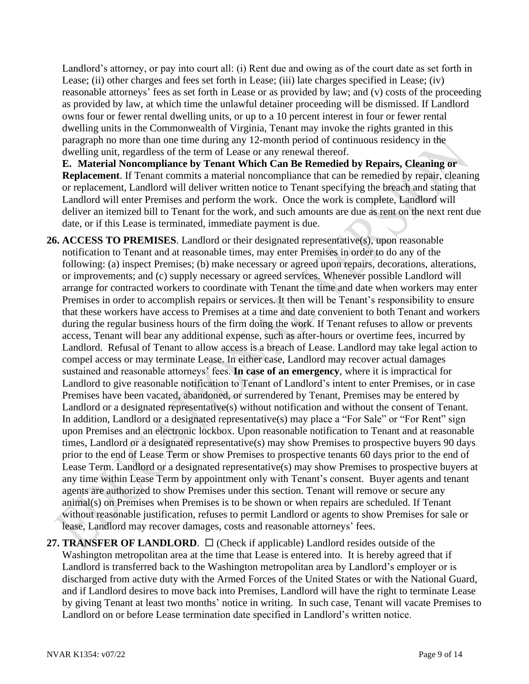Landlord's attorney, or pay into court all: (i) Rent due and owing as of the court date as set forth in Lease; (ii) other charges and fees set forth in Lease; (iii) late charges specified in Lease; (iv) reasonable attorneys' fees as set forth in Lease or as provided by law; and (v) costs of the proceeding as provided by law, at which time the unlawful detainer proceeding will be dismissed. If Landlord owns four or fewer rental dwelling units, or up to a 10 percent interest in four or fewer rental dwelling units in the Commonwealth of Virginia, Tenant may invoke the rights granted in this paragraph no more than one time during any 12-month period of continuous residency in the dwelling unit, regardless of the term of Lease or any renewal thereof.

**E. Material Noncompliance by Tenant Which Can Be Remedied by Repairs, Cleaning or Replacement**. If Tenant commits a material noncompliance that can be remedied by repair, cleaning or replacement, Landlord will deliver written notice to Tenant specifying the breach and stating that Landlord will enter Premises and perform the work. Once the work is complete, Landlord will deliver an itemized bill to Tenant for the work, and such amounts are due as rent on the next rent due date, or if this Lease is terminated, immediate payment is due.

**26. ACCESS TO PREMISES**. Landlord or their designated representative(s), upon reasonable notification to Tenant and at reasonable times, may enter Premises in order to do any of the following: (a) inspect Premises; (b) make necessary or agreed upon repairs, decorations, alterations, or improvements; and (c) supply necessary or agreed services. Whenever possible Landlord will arrange for contracted workers to coordinate with Tenant the time and date when workers may enter Premises in order to accomplish repairs or services. It then will be Tenant's responsibility to ensure that these workers have access to Premises at a time and date convenient to both Tenant and workers during the regular business hours of the firm doing the work. If Tenant refuses to allow or prevents access, Tenant will bear any additional expense, such as after-hours or overtime fees, incurred by Landlord. Refusal of Tenant to allow access is a breach of Lease. Landlord may take legal action to compel access or may terminate Lease. In either case, Landlord may recover actual damages sustained and reasonable attorneys' fees. **In case of an emergency**, where it is impractical for Landlord to give reasonable notification to Tenant of Landlord's intent to enter Premises, or in case Premises have been vacated, abandoned, or surrendered by Tenant, Premises may be entered by Landlord or a designated representative(s) without notification and without the consent of Tenant. In addition, Landlord or a designated representative(s) may place a "For Sale" or "For Rent" sign upon Premises and an electronic lockbox. Upon reasonable notification to Tenant and at reasonable times, Landlord or a designated representative(s) may show Premises to prospective buyers 90 days prior to the end of Lease Term or show Premises to prospective tenants 60 days prior to the end of Lease Term. Landlord or a designated representative(s) may show Premises to prospective buyers at any time within Lease Term by appointment only with Tenant's consent. Buyer agents and tenant agents are authorized to show Premises under this section. Tenant will remove or secure any animal(s) on Premises when Premises is to be shown or when repairs are scheduled. If Tenant without reasonable justification, refuses to permit Landlord or agents to show Premises for sale or lease, Landlord may recover damages, costs and reasonable attorneys' fees.

**27. TRANSFER OF LANDLORD.**  $\Box$  (Check if applicable) Landlord resides outside of the Washington metropolitan area at the time that Lease is entered into. It is hereby agreed that if Landlord is transferred back to the Washington metropolitan area by Landlord's employer or is discharged from active duty with the Armed Forces of the United States or with the National Guard, and if Landlord desires to move back into Premises, Landlord will have the right to terminate Lease by giving Tenant at least two months' notice in writing. In such case, Tenant will vacate Premises to Landlord on or before Lease termination date specified in Landlord's written notice.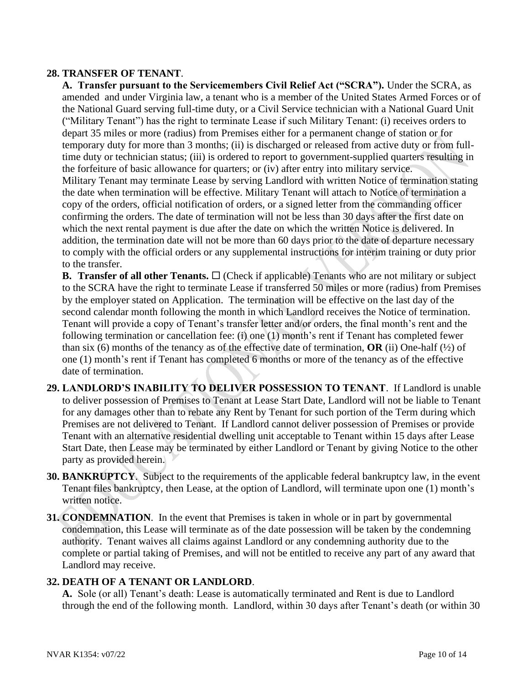### **28. TRANSFER OF TENANT**.

**A. Transfer pursuant to the Servicemembers Civil Relief Act ("SCRA").** Under the SCRA, as amended and under Virginia law, a tenant who is a member of the United States Armed Forces or of the National Guard serving full-time duty, or a Civil Service technician with a National Guard Unit ("Military Tenant") has the right to terminate Lease if such Military Tenant: (i) receives orders to depart 35 miles or more (radius) from Premises either for a permanent change of station or for temporary duty for more than 3 months; (ii) is discharged or released from active duty or from fulltime duty or technician status; (iii) is ordered to report to government-supplied quarters resulting in the forfeiture of basic allowance for quarters; or (iv) after entry into military service. Military Tenant may terminate Lease by serving Landlord with written Notice of termination stating the date when termination will be effective. Military Tenant will attach to Notice of termination a copy of the orders, official notification of orders, or a signed letter from the commanding officer confirming the orders. The date of termination will not be less than 30 days after the first date on which the next rental payment is due after the date on which the written Notice is delivered. In addition, the termination date will not be more than 60 days prior to the date of departure necessary to comply with the official orders or any supplemental instructions for interim training or duty prior to the transfer.

**B. Transfer of all other Tenants.**  $\Box$  (Check if applicable) Tenants who are not military or subject to the SCRA have the right to terminate Lease if transferred 50 miles or more (radius) from Premises by the employer stated on Application. The termination will be effective on the last day of the second calendar month following the month in which Landlord receives the Notice of termination. Tenant will provide a copy of Tenant's transfer letter and/or orders, the final month's rent and the following termination or cancellation fee: (i) one (1) month's rent if Tenant has completed fewer than six (6) months of the tenancy as of the effective date of termination, **OR** (ii) One-half (½) of one (1) month's rent if Tenant has completed 6 months or more of the tenancy as of the effective date of termination.

- **29. LANDLORD'S INABILITY TO DELIVER POSSESSION TO TENANT**. If Landlord is unable to deliver possession of Premises to Tenant at Lease Start Date, Landlord will not be liable to Tenant for any damages other than to rebate any Rent by Tenant for such portion of the Term during which Premises are not delivered to Tenant. If Landlord cannot deliver possession of Premises or provide Tenant with an alternative residential dwelling unit acceptable to Tenant within 15 days after Lease Start Date, then Lease may be terminated by either Landlord or Tenant by giving Notice to the other party as provided herein.
- **30. BANKRUPTCY**. Subject to the requirements of the applicable federal bankruptcy law, in the event Tenant files bankruptcy, then Lease, at the option of Landlord, will terminate upon one (1) month's written notice.
- **31. CONDEMNATION**. In the event that Premises is taken in whole or in part by governmental condemnation, this Lease will terminate as of the date possession will be taken by the condemning authority. Tenant waives all claims against Landlord or any condemning authority due to the complete or partial taking of Premises, and will not be entitled to receive any part of any award that Landlord may receive.

#### **32. DEATH OF A TENANT OR LANDLORD**.

**A.** Sole (or all) Tenant's death: Lease is automatically terminated and Rent is due to Landlord through the end of the following month. Landlord, within 30 days after Tenant's death (or within 30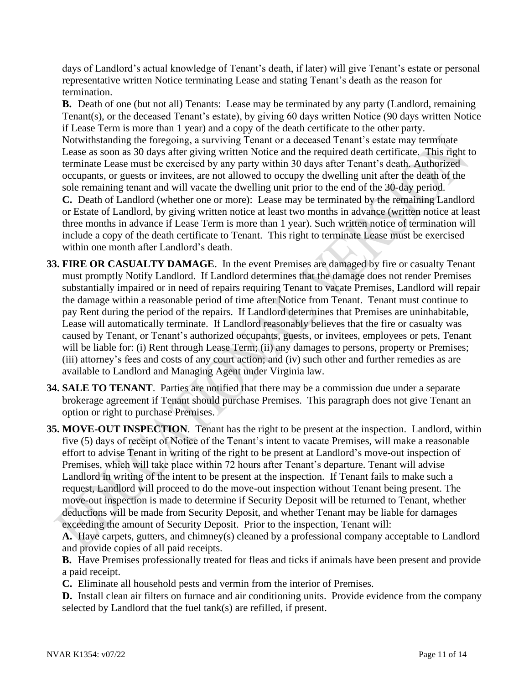days of Landlord's actual knowledge of Tenant's death, if later) will give Tenant's estate or personal representative written Notice terminating Lease and stating Tenant's death as the reason for termination.

**B.** Death of one (but not all) Tenants: Lease may be terminated by any party (Landlord, remaining Tenant(s), or the deceased Tenant's estate), by giving 60 days written Notice (90 days written Notice if Lease Term is more than 1 year) and a copy of the death certificate to the other party. Notwithstanding the foregoing, a surviving Tenant or a deceased Tenant's estate may terminate Lease as soon as 30 days after giving written Notice and the required death certificate. This right to terminate Lease must be exercised by any party within 30 days after Tenant's death. Authorized occupants, or guests or invitees, are not allowed to occupy the dwelling unit after the death of the sole remaining tenant and will vacate the dwelling unit prior to the end of the 30-day period. **C.** Death of Landlord (whether one or more): Lease may be terminated by the remaining Landlord or Estate of Landlord, by giving written notice at least two months in advance (written notice at least three months in advance if Lease Term is more than 1 year). Such written notice of termination will include a copy of the death certificate to Tenant. This right to terminate Lease must be exercised within one month after Landlord's death.

- **33. FIRE OR CASUALTY DAMAGE**.In the event Premises are damaged by fire or casualty Tenant must promptly Notify Landlord. If Landlord determines that the damage does not render Premises substantially impaired or in need of repairs requiring Tenant to vacate Premises, Landlord will repair the damage within a reasonable period of time after Notice from Tenant. Tenant must continue to pay Rent during the period of the repairs. If Landlord determines that Premises are uninhabitable, Lease will automatically terminate. If Landlord reasonably believes that the fire or casualty was caused by Tenant, or Tenant's authorized occupants, guests, or invitees, employees or pets, Tenant will be liable for: (i) Rent through Lease Term; (ii) any damages to persons, property or Premises; (iii) attorney's fees and costs of any court action; and (iv) such other and further remedies as are available to Landlord and Managing Agent under Virginia law.
- **34. SALE TO TENANT**. Parties are notified that there may be a commission due under a separate brokerage agreement if Tenant should purchase Premises. This paragraph does not give Tenant an option or right to purchase Premises.

**35. MOVE-OUT INSPECTION**. Tenant has the right to be present at the inspection. Landlord, within five (5) days of receipt of Notice of the Tenant's intent to vacate Premises, will make a reasonable effort to advise Tenant in writing of the right to be present at Landlord's move-out inspection of Premises, which will take place within 72 hours after Tenant's departure. Tenant will advise Landlord in writing of the intent to be present at the inspection. If Tenant fails to make such a request, Landlord will proceed to do the move-out inspection without Tenant being present. The move-out inspection is made to determine if Security Deposit will be returned to Tenant, whether deductions will be made from Security Deposit, and whether Tenant may be liable for damages exceeding the amount of Security Deposit. Prior to the inspection, Tenant will:

**A.** Have carpets, gutters, and chimney(s) cleaned by a professional company acceptable to Landlord and provide copies of all paid receipts.

**B.** Have Premises professionally treated for fleas and ticks if animals have been present and provide a paid receipt.

**C.** Eliminate all household pests and vermin from the interior of Premises.

**D.** Install clean air filters on furnace and air conditioning units. Provide evidence from the company selected by Landlord that the fuel tank(s) are refilled, if present.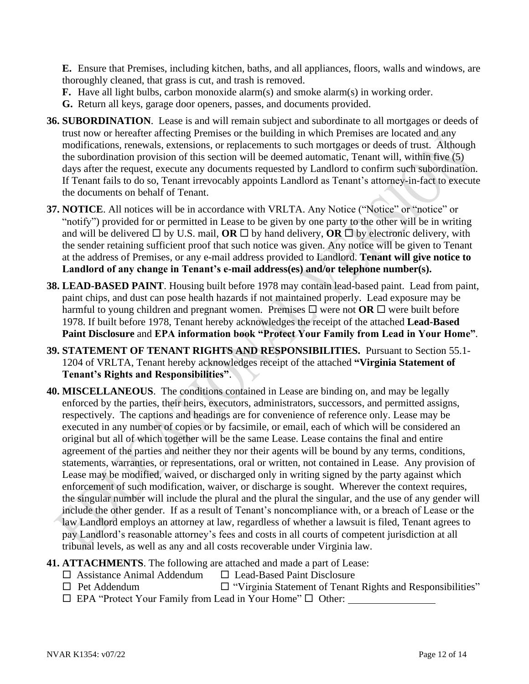**E.** Ensure that Premises, including kitchen, baths, and all appliances, floors, walls and windows, are thoroughly cleaned, that grass is cut, and trash is removed.

**F.** Have all light bulbs, carbon monoxide alarm(s) and smoke alarm(s) in working order.

**G.** Return all keys, garage door openers, passes, and documents provided.

- **36. SUBORDINATION**. Lease is and will remain subject and subordinate to all mortgages or deeds of trust now or hereafter affecting Premises or the building in which Premises are located and any modifications, renewals, extensions, or replacements to such mortgages or deeds of trust. Although the subordination provision of this section will be deemed automatic, Tenant will, within five (5) days after the request, execute any documents requested by Landlord to confirm such subordination. If Tenant fails to do so, Tenant irrevocably appoints Landlord as Tenant's attorney-in-fact to execute the documents on behalf of Tenant.
- **37. NOTICE**. All notices will be in accordance with VRLTA. Any Notice ("Notice" or "notice" or "notify") provided for or permitted in Lease to be given by one party to the other will be in writing and will be delivered  $\Box$  by U.S. mail, **OR**  $\Box$  by hand delivery, **OR**  $\Box$  by electronic delivery, with the sender retaining sufficient proof that such notice was given. Any notice will be given to Tenant at the address of Premises, or any e-mail address provided to Landlord. **Tenant will give notice to Landlord of any change in Tenant's e-mail address(es) and/or telephone number(s).**
- **38. LEAD-BASED PAINT**. Housing built before 1978 may contain lead-based paint. Lead from paint, paint chips, and dust can pose health hazards if not maintained properly. Lead exposure may be harmful to young children and pregnant women. Premises  $\Box$  were not **OR**  $\Box$  were built before 1978. If built before 1978, Tenant hereby acknowledges the receipt of the attached **Lead-Based Paint Disclosure** and **EPA information book "Protect Your Family from Lead in Your Home"**.
- **39. STATEMENT OF TENANT RIGHTS AND RESPONSIBILITIES.** Pursuant to Section 55.1- 1204 of VRLTA, Tenant hereby acknowledges receipt of the attached **"Virginia Statement of Tenant's Rights and Responsibilities"**.
- **40. MISCELLANEOUS**. The conditions contained in Lease are binding on, and may be legally enforced by the parties, their heirs, executors, administrators, successors, and permitted assigns, respectively. The captions and headings are for convenience of reference only. Lease may be executed in any number of copies or by facsimile, or email, each of which will be considered an original but all of which together will be the same Lease. Lease contains the final and entire agreement of the parties and neither they nor their agents will be bound by any terms, conditions, statements, warranties, or representations, oral or written, not contained in Lease. Any provision of Lease may be modified, waived, or discharged only in writing signed by the party against which enforcement of such modification, waiver, or discharge is sought. Wherever the context requires, the singular number will include the plural and the plural the singular, and the use of any gender will include the other gender. If as a result of Tenant's noncompliance with, or a breach of Lease or the law Landlord employs an attorney at law, regardless of whether a lawsuit is filed, Tenant agrees to pay Landlord's reasonable attorney's fees and costs in all courts of competent jurisdiction at all tribunal levels, as well as any and all costs recoverable under Virginia law.
- **41. ATTACHMENTS**. The following are attached and made a part of Lease:
	- $\Box$  Assistance Animal Addendum  $\Box$  Lead-Based Paint Disclosure
	- $\Box$  Pet Addendum  $\Box$  "Virginia Statement of Tenant Rights and Responsibilities"
	- $\Box$  EPA "Protect Your Family from Lead in Your Home"  $\Box$  Other: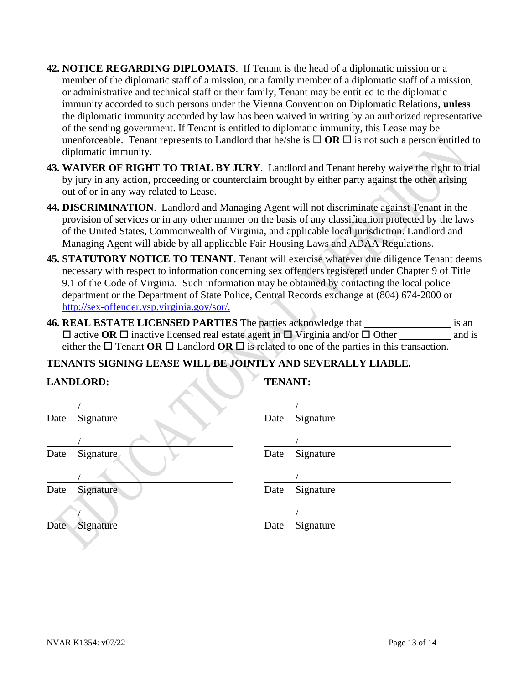- **42. NOTICE REGARDING DIPLOMATS**. If Tenant is the head of a diplomatic mission or a member of the diplomatic staff of a mission, or a family member of a diplomatic staff of a mission, or administrative and technical staff or their family, Tenant may be entitled to the diplomatic immunity accorded to such persons under the Vienna Convention on Diplomatic Relations, **unless** the diplomatic immunity accorded by law has been waived in writing by an authorized representative of the sending government. If Tenant is entitled to diplomatic immunity, this Lease may be unenforceable. Tenant represents to Landlord that he/she is  $\Box$  **OR**  $\Box$  is not such a person entitled to diplomatic immunity.
- **43. WAIVER OF RIGHT TO TRIAL BY JURY**. Landlord and Tenant hereby waive the right to trial by jury in any action, proceeding or counterclaim brought by either party against the other arising out of or in any way related to Lease.
- **44. DISCRIMINATION**. Landlord and Managing Agent will not discriminate against Tenant in the provision of services or in any other manner on the basis of any classification protected by the laws of the United States, Commonwealth of Virginia, and applicable local jurisdiction. Landlord and Managing Agent will abide by all applicable Fair Housing Laws and ADAA Regulations.
- **45. STATUTORY NOTICE TO TENANT**. Tenant will exercise whatever due diligence Tenant deems necessary with respect to information concerning sex offenders registered under Chapter 9 of Title 9.1 of the Code of Virginia. Such information may be obtained by contacting the local police department or the Department of State Police, Central Records exchange at (804) 674-2000 or [http://sex-offender.vsp.virginia.gov/sor/.](http://sex-offender.vsp.virginia.gov/sor/)
- **46. REAL ESTATE LICENSED PARTIES** The parties acknowledge that is an  $\Box$  active **OR**  $\Box$  inactive licensed real estate agent in  $\Box$  Virginia and/or  $\Box$  Other and is either the  $\Box$  Tenant **OR**  $\Box$  Landlord **OR**  $\Box$  is related to one of the parties in this transaction.

### **TENANTS SIGNING LEASE WILL BE JOINTLY AND SEVERALLY LIABLE.**

#### **LANDLORD: TENANT:**

| Date | Signature | Date | Signature |
|------|-----------|------|-----------|
|      |           |      |           |
| Date | Signature | Date | Signature |
|      |           |      |           |
| Date | Signature | Date | Signature |
|      |           |      |           |
| Date | Signature | Date | Signature |
|      |           |      |           |